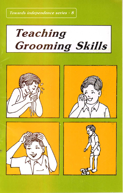Towards independence series - 8



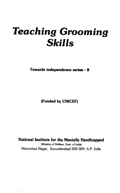# Teaching Grooming Skills

Towards independence series -8

(Funded by UNICEF)

National Institute for the Mentally Handicapped

(Ministry of Welfare, Govt. of India) Manovikas Nagar, Secunderabad 500 009. A.P. India

 $\tau \rightarrow \gamma$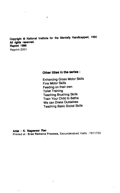Copyright  $\Phi$  National Institute for the Mentally Handicapped, 1990 All rights reserved. Reprint 1996

ÿ

Reprint 2001

#### Other titles in the series:

Enhancing Gross Motor Skills Fine Motor Skills Feeding on their own Toilet Training Teaching Brushing Skills Train Your Child to Bathe • We can Dress Ourselves Teaching Basic Social Skills

Artist: K. Nageswar Rao

e le S

Printed at : Sree Ramana Process, Secunderabad. Hello : 7811750

Ý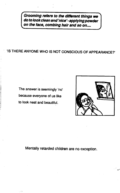Grooming refers to the different things we do to look clean and 'nice' - applying powder on the face, combing hair and so on....

# 'IS THERE ANYONE WHO IS NOT CONSCIOUS OF APPEARANCE?'

The answer is seemingly 'no' because everyone of us like to look neat and beautiful.



Mentally retarded children are no exception.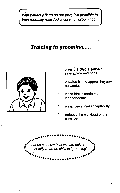With patient efforts on our part, it is possible to train mentally retarded children in 'grooming'.

# Training in grooming.....



- gives the child a sense of satisfaction and pride.
- enables him to appear the/way he wants.
- \* leads him towards more independence.
- enhances social acceptability.
- reduces the workload of the caretaker.

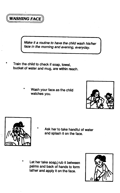

Make it a routine to have the child wash his/her face in the morning and evening, everyday.

- Train the child to check if soap, towel, bucket of water and mug, are within reach.
	- Wash your face as the child watches you.





Ask her to take handful of water and splash it on the face.

Let her take soap, rub it between palms and back of hands to form lather and apply it on the face.

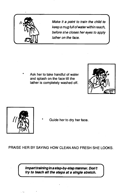

Make it a point to train the child to keep a mug full of water within reach, before she closes her eyes to apply lather on the face.

Ask her to take handful of water and splash on the face till the lather is completely washed off.





Guide her to dry her face.

PRAISE HER BY SAYING HOW CLEAN AND FRESH SHE LOOKS.

try to teach all the steps at a single stretch. Impart training in a step-by-step manner. Don't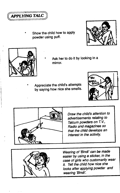

Show the child how to apply powder using puff.





- Ask her to do it by looking in a mirror.
- Appreciate the child's attempts by saying how nice she smells.





Draw the child's attention to advertisements relating to Talcum powders on T.V., Radio and magazines so that the child develops an interest in the activity.



Wearing of 'Bindi' can be made easier by using a sticker, in the case of girls who customarily wear it. Tel! the child how nice she looks after applying powder and wearing 'Bindi'.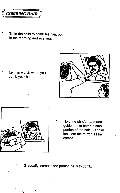

Train the child to comb his hair, both in the morning and evening.

Let him watch when you comb your hair.





Hold the child's hand and guide him to comb a small portion of the hair. Let him look into the mirror, as he combs.

Gradually increase the portion he is to comb.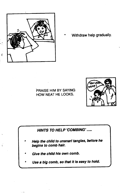

Ĉ

Withdraw help gradually.

#### PRAISE HIM BY SAYING HOW NEAT HE LOOKS.



# HINTS TO HELP 'COMBING'

- Help the child to unsnarl tangles, before he begins to comb hair.
- Give the child his own comb.
- Use a big comb, so that it is easy to hold.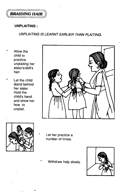

#### UNPLAITING:

# UNPLAITING IS LEARNT EARLIER THAN PLAITING.

- Allow the child to practice unplaiting her sister's/doll's hair.
- Let the child stand behind her sister. Hold the child's hand and show her how to unplait.





- Let her practice a number of times.
- Withdraw help slowly.

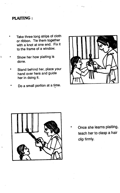# PLAITING:

- Take three long strips of cloth or ribbon. Tie them together with a knot at one end. Fix it to the frame of a window.
- Show her how plaiting is done.
- Stand behind her, place your hand over hers and guide her in doing it.
- Do a small portion at a time.





Once she learns plaiting, teach her to clasp a hair clip firmly.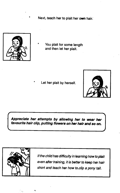Next, teach her to plait her own hair.



You plait for some length and then let her plait.

Let her plait by herself.



Appreciate her attempts by allowing her to wear her favourite hair clip, putting flowers on her hair and so on.



If the child has difficulty in learning how to plait even after training, it is better to keep her hair short and teach her how to.clip a pony tail.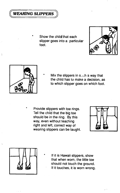

Show the child that each slipper goes into a particular foot.





þ

Mix the slippers in such a way that the child has to make a decision, as to which slipper goes on which foot.

Provide slippers with toe rings. Tell the child that the big toe should be in the ring. By this way, even without teaching right and left, correct way of wearing slippers can be taught.





If it is Hawaii slippers, show that when worn, the little toe should not touch the ground. If it touches, it is worn wrong.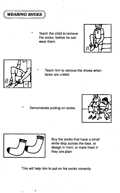

Teach the child to remove the, socks, before he can wear them.





Teach him to remove the shoes when laces are untied.

Demonstrate putting on socks.





Buy the socks that have a small white strip across the toes, or design in front, or mark them if they are plain

This will help him to put on his socks correctly.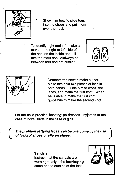

Show him how to slide toes into the shoes and pull them over the heel.

To identify right and left, make a mark at the right or left side of the heel on the inside and tell him the mark should/always be between feet and not outside.





 Demonstrate how to make a knot. Make him hold two pieces of lace in both hands. Guide him to cross the laces, and make the first knot. When he is able to make the first knot, guide him to make the second knot..

Let the child practice 'knotting' on dresses - pyjamas in the case of boys, skirts in the case of girls.

The problem of 'tying laces' can be overcome by the use of 'velcro' shoes or slip on Shoes.

Sandals:

Instruct that the sandals are worn right only if the buckles/  $\ell$ come on the outside of the feet.